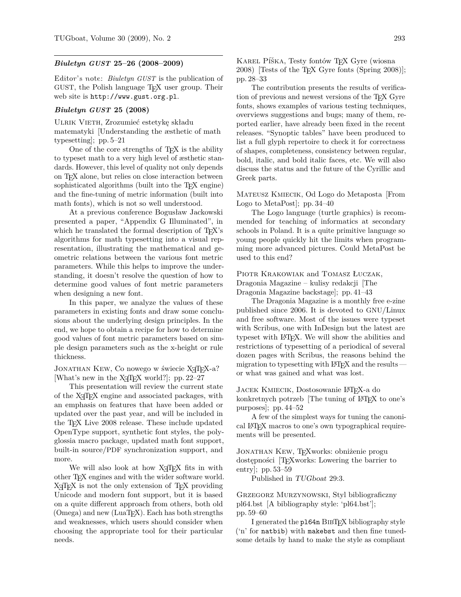## *Biuletyn GUST* **25–26 (2008–2009)**

Editor's note: *Biuletyn GUST* is the publication of GUST, the Polish language T<sub>E</sub>X user group. Their web site is http://www.gust.org.pl.

## *Biuletyn GUST* **25 (2008)**

ULRIK VIETH, Zrozumieć estetykę składu matematyki [Understanding the æsthetic of math typesetting]; pp. 5–21

One of the core strengths of T<sub>E</sub>X is the ability to typeset math to a very high level of æsthetic standards. However, this level of quality not only depends on TEX alone, but relies on close interaction between sophisticated algorithms (built into the T<sub>E</sub>X engine) and the fine-tuning of metric information (built into math fonts), which is not so well understood.

At a previous conference Bogusław Jackowski presented a paper, "Appendix G Illuminated", in which he translated the formal description of T<sub>E</sub>X's algorithms for math typesetting into a visual representation, illustrating the mathematical and geometric relations between the various font metric parameters. While this helps to improve the understanding, it doesn't resolve the question of how to determine good values of font metric parameters when designing a new font.

In this paper, we analyze the values of these parameters in existing fonts and draw some conclusions about the underlying design principles. In the end, we hope to obtain a recipe for how to determine good values of font metric parameters based on simple design parameters such as the x-height or rule thickness.

JONATHAN KEW, Co nowego w świecie X<sub>T</sub>T<sub>E</sub>X-a? [What's new in the  $X \nsubseteq T$  world?]; pp. 22–27

This presentation will review the current state of the X<sub>T</sub>T<sub>E</sub>X engine and associated packages, with an emphasis on features that have been added or updated over the past year, and will be included in the T<sub>E</sub>X Live 2008 release. These include updated OpenType support, synthetic font styles, the polyglossia macro package, updated math font support, built-in source/PDF synchronization support, and more.

We will also look at how X<sub>T</sub>T<sub>E</sub>X fits in with other TEX engines and with the wider software world. X<sub>T</sub>T<sub>E</sub>X is not the only extension of T<sub>E</sub>X providing Unicode and modern font support, but it is based on a quite different approach from others, both old  $(Omega)$  and new  $(LuaTrX)$ . Each has both strengths and weaknesses, which users should consider when choosing the appropriate tool for their particular needs.

KAREL PÍŠKA, Testy fontów TEX Gyre (wiosna 2008) [Tests of the TEX Gyre fonts (Spring 2008)]; pp. 28–33

The contribution presents the results of verification of previous and newest versions of the T<sub>E</sub>X Gyre fonts, shows examples of various testing techniques, overviews suggestions and bugs; many of them, reported earlier, have already been fixed in the recent releases. "Synoptic tables" have been produced to list a full glyph repertoire to check it for correctness of shapes, completeness, consistency between regular, bold, italic, and bold italic faces, etc. We will also discuss the status and the future of the Cyrillic and Greek parts.

Mateusz Kmiecik, Od Logo do Metaposta [From Logo to MetaPost]; pp. 34–40

The Logo language (turtle graphics) is recommended for teaching of informatics at secondary schools in Poland. It is a quite primitive language so young people quickly hit the limits when programming more advanced pictures. Could MetaPost be used to this end?

Piotr Krakowiak and Tomasz Łuczak,

Dragonia Magazine – kulisy redakcji [The Dragonia Magazine backstage]; pp. 41–43

The Dragonia Magazine is a monthly free e-zine published since 2006. It is devoted to GNU/Linux and free software. Most of the issues were typeset with Scribus, one with InDesign but the latest are typeset with LATEX. We will show the abilities and restrictions of typesetting of a periodical of several dozen pages with Scribus, the reasons behind the migration to typesetting with LAT<sub>E</sub>X and the results – or what was gained and what was lost.

Jacek Kmiecik, Dostosowanie LATEX-a do konkretnych potrzeb [The tuning of L<sup>AT</sup>F<sub>K</sub>X to one's purposes]; pp. 44–52

A few of the simplest ways for tuning the canonical LATEX macros to one's own typographical requirements will be presented.

Jonathan Kew, TEXworks: obniżenie progu dostępności [TEXworks: Lowering the barrier to entry]; pp. 53–59

Published in TUGboat 29:3.

Grzegorz Murzynowski, Styl bibliograficzny pl64.bst [A bibliography style: 'pl64.bst']; pp. 59–60

I generated the pl64n BibTEX bibliography style ('n' for natbib) with makebst and then fine tunedsome details by hand to make the style as compliant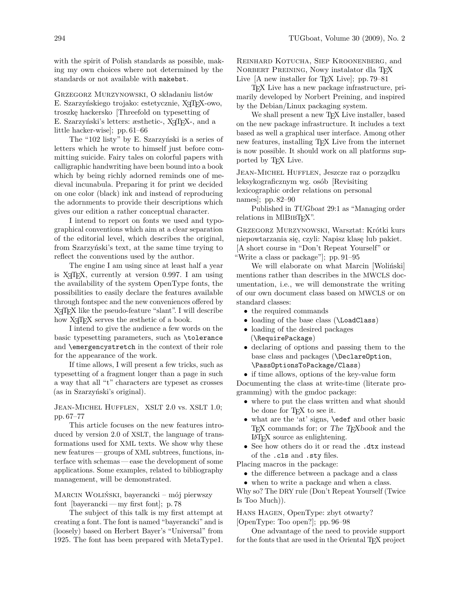with the spirit of Polish standards as possible, making my own choices where not determined by the standards or not available with makebst.

Grzegorz Murzynowski, O składaniu listów E. Szarzyńskiego trojako: estetycznie, X<sub>7</sub>T<sub>F</sub>X-owo, troszkę hackersko [Threefold on typesetting of E. Szarzyński's letters: æsthetic-, X<sub>T</sub>T<sub>F</sub>X-, and a little hacker-wise]; pp. 61–66

The "102 listy" by E. Szarzyński is a series of letters which he wrote to himself just before committing suicide. Fairy tales on colorful papers with calligraphic handwriting have been bound into a book which by being richly adorned reminds one of medieval incunabula. Preparing it for print we decided on one color (black) ink and instead of reproducing the adornments to provide their descriptions which gives our edition a rather conceptual character.

I intend to report on fonts we used and typographical conventions which aim at a clear separation of the editorial level, which describes the original, from Szarzyński's text, at the same time trying to reflect the conventions used by the author.

The engine I am using since at least half a year is  $X \pi T_F X$ , currently at version 0.997. I am using the availability of the system OpenType fonts, the possibilities to easily declare the features available through fontspec and the new conveniences offered by X<sub>T</sub>T<sub>E</sub>X like the pseudo-feature "slant". I will describe how X<sub>T</sub>T<sub>F</sub>X serves the *assistatic* of a book.

I intend to give the audience a few words on the basic typesetting parameters, such as \tolerance and \emergencystretch in the context of their role for the appearance of the work.

If time allows, I will present a few tricks, such as typesetting of a fragment longer than a page in such a way that all "t" characters are typeset as crosses (as in Szarzyński's original).

Jean-Michel Hufflen, XSLT 2.0 vs. XSLT 1.0; pp. 67–77

This article focuses on the new features introduced by version 2.0 of XSLT, the language of transformations used for XML texts. We show why these new features — groups of XML subtrees, functions, interface with schemas — ease the development of some applications. Some examples, related to bibliography management, will be demonstrated.

Marcin Woliński, bayerancki – mój pierwszy font [bayerancki— my first font]; p. 78

The subject of this talk is my first attempt at creating a font. The font is named "bayerancki" and is (loosely) based on Herbert Bayer's "Universal" from 1925. The font has been prepared with MetaType1. Reinhard Kotucha, Siep Kroonenberg, and NORBERT PREINING, Nowy instalator dla TEX Live [A new installer for T<sub>E</sub>X Live]; pp. 79–81

TEX Live has a new package infrastructure, primarily developed by Norbert Preining, and inspired by the Debian/Linux packaging system.

We shall present a new T<sub>E</sub>X Live installer, based on the new package infrastructure. It includes a text based as well a graphical user interface. Among other new features, installing T<sub>EX</sub> Live from the internet is now possible. It should work on all platforms supported by TEX Live.

Jean-Michel Hufflen, Jeszcze raz o porządku leksykograficznym wg. osób [Revisiting lexicographic order relations on personal names]; pp. 82–90

Published in TUGboat 29:1 as "Managing order relations in MIBIBT<sub>EX</sub>".

Grzegorz Murzynowski, Warsztat: Krótki kurs niepowtarzania się, czyli: Napisz klasę lub pakiet. [A short course in "Don't Repeat Yourself" or "Write a class or package"]; pp. 91–95

We will elaborate on what Marcin [Woliński] mentions rather than describes in the MWCLS documentation, i.e., we will demonstrate the writing of our own document class based on MWCLS or on standard classes:

- the required commands
- loading of the base class (\LoadClass)
- loading of the desired packages (\RequirePackage)
- declaring of options and passing them to the base class and packages (\DeclareOption, \PassOptionsToPackage/Class)

• if time allows, options of the key-value form Documenting the class at write-time (literate programming) with the gmdoc package:

- where to put the class written and what should be done for TEX to see it.
- what are the 'at' signs, \edef and other basic TEX commands for; or The TEXbook and the LATEX source as enlightening.
- See how others do it or read the .dtx instead of the .cls and .sty files.

Placing macros in the package:

• the difference between a package and a class

• when to write a package and when a class. Why so? The DRY rule (Don't Repeat Yourself (Twice Is Too Much)).

Hans Hagen, OpenType: zbyt otwarty? [OpenType: Too open?]; pp. 96–98

One advantage of the need to provide support for the fonts that are used in the Oriental T<sub>EX</sub> project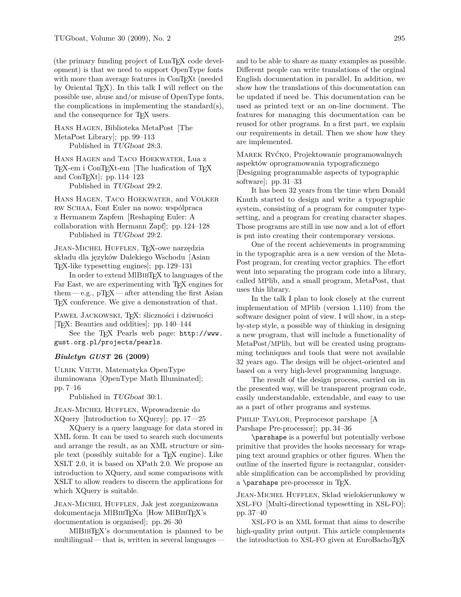(the primary funding project of LuaT<sub>EX</sub> code development) is that we need to support OpenType fonts with more than average features in ConTEXt (needed by Oriental TEX). In this talk I will reflect on the possible use, abuse and/or misuse of OpenType fonts, the complications in implementing the standard(s), and the consequence for T<sub>EX</sub> users.

Hans Hagen, Biblioteka MetaPost [The MetaPost Library]; pp. 99–113 Published in TUGboat 28:3.

Hans Hagen and Taco Hoekwater, Lua z TEX-em i ConTEXt-em [The luafication of TEX and ConT $EXt$ ; pp. 114–123 Published in TUGboat 29:2.

Hans Hagen, Taco Hoekwater, and Volker rw Schaa, Font Euler na nowo: wspólpraca

z Hermanem Zapfem [Reshaping Euler: A collaboration with Hermann Zapf]; pp. 124–128 Published in TUGboat 29:2.

JEAN-MICHEL HUFFLEN, TEX-owe narzędzia składu dla języków Dalekiego Wschodu [Asian TEX-like typesetting engines]; pp. 129–131

In order to extend MIBIBT<sub>EX</sub> to languages of the Far East, we are experimenting with T<sub>EX</sub> engines for them  $-e.g., pTFX$  — after attending the first Asian TEX conference. We give a demonstration of that.

PAWEŁ JACKOWSKI, TFX: śliczności i dziwności [TEX: Beauties and oddities]; pp. 140–144

See the TEX Pearls web page: http://www. gust.org.pl/projects/pearls.

## *Biuletyn GUST* **26 (2009)**

Ulrik Vieth, Matematyka OpenType iluminowana [OpenType Math Illuminated]; pp. 7–16

Published in TUGboat 30:1.

Jean-Michel Hufflen, Wprowadzenie do XQuery [Introduction to XQuery]; pp. 17—25

XQuery is a query language for data stored in XML form. It can be used to search such documents and arrange the result, as an XML structure or simple text (possibly suitable for a TEX engine). Like XSLT 2.0, it is based on XPath 2.0. We propose an introduction to XQuery, and some comparisons with XSLT to allow readers to discern the applications for which XQuery is suitable.

Jean-Michel Hufflen, Jak jest zorganizowana dokumentacja MlBIBT<sub>E</sub>Xa [How MlBIBT<sub>E</sub>X's documentation is organised]; pp. 26–30

MlBibTEX's documentation is planned to be  $multilingual—that$  is, written in several languages  $-$ 

and to be able to share as many examples as possible. Different people can write translations of the orginal English documentation in parallel. In addition, we show how the translations of this documentation can be updated if need be. This documentation can be used as printed text or an on-line document. The features for managing this documentation can be reused for other programs. In a first part, we explain our requirements in detail. Then we show how they are implemented.

Marek Ryćko, Projektowanie programowalnych aspektów oprogramowania typograficznego [Designing programmable aspects of typographic software]; pp. 31–33

It has been 32 years from the time when Donald Knuth started to design and write a typographic system, consisting of a program for computer typesetting, and a program for creating character shapes. Those programs are still in use now and a lot of effort is put into creating their contemporary versions.

One of the recent achievements in programming in the typographic area is a new version of the Meta-Post program, for creating vector graphics. The effort went into separating the program code into a library, called MPlib, and a small program, MetaPost, that uses this library.

In the talk I plan to look closely at the current implementation of MPlib (version 1.110) from the software designer point of view. I will show, in a stepby-step style, a possible way of thinking in designing a new program, that will include a functionality of MetaPost/MPlib, but will be created using programming techniques and tools that were not available 32 years ago. The design will be object-oriented and based on a very high-level programming language.

The result of the design process, carried on in the presented way, will be transparent program code, easily understandable, extendable, and easy to use as a part of other programs and systems.

PHILIP TAYLOR, Preprocesor parshape [A Parshape Pre-processor]; pp. 34–36

\parshape is a powerful but potentially verbose primitive that provides the hooks necessary for wrapping text around graphics or other figures. When the outline of the inserted figure is rectangular, considerable simplification can be accomplished by providing a  $\langle$  parshape pre-processor in T<sub>E</sub>X.

Jean-Michel Hufflen, Skład wielokierunkowy w XSL-FO [Multi-directional typesetting in XSL-FO]; pp. 37–40

XSL-FO is an XML format that aims to describe high-quality print output. This article complements the introduction to XSL-FO given at EuroBachoT<sub>E</sub>X